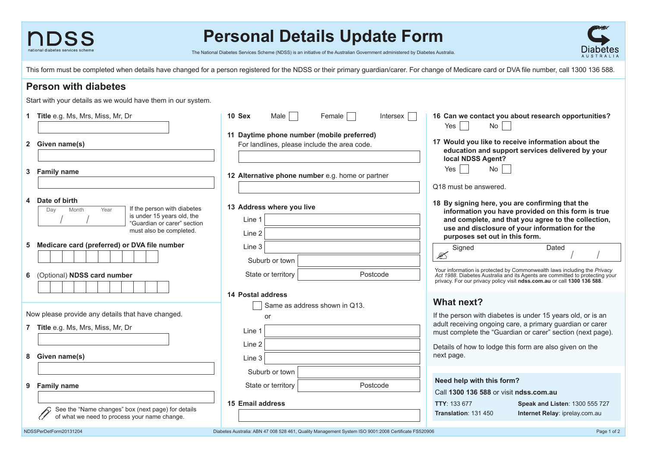

# **Personal Details Update Form**

The National Diabetes Services Scheme (NDSS) is an initiative of the Australian Government administered by Diabetes Australia.

This form must be completed when details have changed for a person registered for the NDSS or their primary guardian/carer. For change of Medicare card or DVA file number, call 1300 136 588.

## **Person with diabetes**

Start with your details as we would have them in our system.

|                                    | 1 Title e.g. Ms, Mrs, Miss, Mr, Dr                        | 10 Sex<br>Male $ $<br>Female  <br><b>Intersex</b>                                                    | 16 Can we contact you about research opportunities?<br>No<br>Yes $ $                                                                                                                                                                |  |  |  |  |  |  |
|------------------------------------|-----------------------------------------------------------|------------------------------------------------------------------------------------------------------|-------------------------------------------------------------------------------------------------------------------------------------------------------------------------------------------------------------------------------------|--|--|--|--|--|--|
|                                    |                                                           | 11 Daytime phone number (mobile preferred)                                                           |                                                                                                                                                                                                                                     |  |  |  |  |  |  |
|                                    | 2 Given name(s)                                           | For landlines, please include the area code.                                                         | 17 Would you like to receive information about the                                                                                                                                                                                  |  |  |  |  |  |  |
|                                    |                                                           |                                                                                                      | education and support services delivered by your<br>local NDSS Agent?                                                                                                                                                               |  |  |  |  |  |  |
| 3                                  | <b>Family name</b>                                        |                                                                                                      | No<br>Yes                                                                                                                                                                                                                           |  |  |  |  |  |  |
|                                    |                                                           | 12 Alternative phone number e.g. home or partner                                                     |                                                                                                                                                                                                                                     |  |  |  |  |  |  |
|                                    |                                                           |                                                                                                      | Q18 must be answered.                                                                                                                                                                                                               |  |  |  |  |  |  |
|                                    |                                                           |                                                                                                      |                                                                                                                                                                                                                                     |  |  |  |  |  |  |
|                                    | Date of birth                                             |                                                                                                      | 18 By signing here, you are confirming that the<br>information you have provided on this form is true                                                                                                                               |  |  |  |  |  |  |
|                                    | If the person with diabetes<br>Month<br>Year<br>Day       | 13 Address where you live                                                                            |                                                                                                                                                                                                                                     |  |  |  |  |  |  |
|                                    | is under 15 years old, the<br>"Guardian or carer" section | Line 1                                                                                               | and complete, and that you agree to the collection,                                                                                                                                                                                 |  |  |  |  |  |  |
|                                    | must also be completed.                                   |                                                                                                      | use and disclosure of your information for the                                                                                                                                                                                      |  |  |  |  |  |  |
|                                    |                                                           | Line 2                                                                                               | purposes set out in this form.                                                                                                                                                                                                      |  |  |  |  |  |  |
| 5                                  | Medicare card (preferred) or DVA file number              | Line 3                                                                                               | Signed<br>Dated                                                                                                                                                                                                                     |  |  |  |  |  |  |
|                                    |                                                           |                                                                                                      | Z                                                                                                                                                                                                                                   |  |  |  |  |  |  |
|                                    |                                                           | Suburb or town                                                                                       |                                                                                                                                                                                                                                     |  |  |  |  |  |  |
| 6                                  | (Optional) NDSS card number                               | State or territory<br>Postcode                                                                       |                                                                                                                                                                                                                                     |  |  |  |  |  |  |
|                                    |                                                           |                                                                                                      | Your information is protected by Commonwealth laws including the Privacy<br>Act 1988. Diabetes Australia and its Agents are committed to protecting your<br>privacy. For our privacy policy visit ndss.com.au or call 1300 136 588. |  |  |  |  |  |  |
|                                    |                                                           |                                                                                                      |                                                                                                                                                                                                                                     |  |  |  |  |  |  |
|                                    |                                                           | 14 Postal address                                                                                    |                                                                                                                                                                                                                                     |  |  |  |  |  |  |
|                                    |                                                           | Same as address shown in Q13.                                                                        | <b>What next?</b>                                                                                                                                                                                                                   |  |  |  |  |  |  |
|                                    | Now please provide any details that have changed.         | or                                                                                                   | If the person with diabetes is under 15 years old, or is an                                                                                                                                                                         |  |  |  |  |  |  |
|                                    |                                                           | adult receiving ongoing care, a primary guardian or carer                                            |                                                                                                                                                                                                                                     |  |  |  |  |  |  |
| 7 Title e.g. Ms, Mrs, Miss, Mr, Dr |                                                           | Line 1                                                                                               | must complete the "Guardian or carer" section (next page).                                                                                                                                                                          |  |  |  |  |  |  |
|                                    |                                                           | Line 2                                                                                               |                                                                                                                                                                                                                                     |  |  |  |  |  |  |
|                                    |                                                           |                                                                                                      | Details of how to lodge this form are also given on the                                                                                                                                                                             |  |  |  |  |  |  |
| 8.                                 | Given name(s)                                             | Line 3                                                                                               | next page.                                                                                                                                                                                                                          |  |  |  |  |  |  |
|                                    |                                                           |                                                                                                      |                                                                                                                                                                                                                                     |  |  |  |  |  |  |
|                                    |                                                           | Suburb or town                                                                                       |                                                                                                                                                                                                                                     |  |  |  |  |  |  |
| 9                                  | <b>Family name</b>                                        | Postcode<br>State or territory                                                                       | Need help with this form?                                                                                                                                                                                                           |  |  |  |  |  |  |
|                                    |                                                           |                                                                                                      | Call 1300 136 588 or visit ndss.com.au                                                                                                                                                                                              |  |  |  |  |  |  |
|                                    |                                                           | 15 Email address                                                                                     | TTY: 133 677<br>Speak and Listen: 1300 555 727                                                                                                                                                                                      |  |  |  |  |  |  |
|                                    | See the "Name changes" box (next page) for details        |                                                                                                      | <b>Translation: 131 450</b><br>Internet Relay: iprelay.com.au                                                                                                                                                                       |  |  |  |  |  |  |
|                                    | of what we need to process your name change.              |                                                                                                      |                                                                                                                                                                                                                                     |  |  |  |  |  |  |
| NDSSPerDetForm20131204             |                                                           |                                                                                                      |                                                                                                                                                                                                                                     |  |  |  |  |  |  |
|                                    |                                                           | Diabetes Australia: ABN 47 008 528 461, Quality Management System ISO 9001:2008 Certificate FS520906 | Page 1 of 2                                                                                                                                                                                                                         |  |  |  |  |  |  |